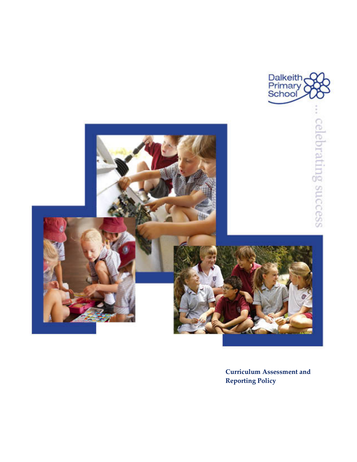

**Curriculum Assessment and Reporting Policy**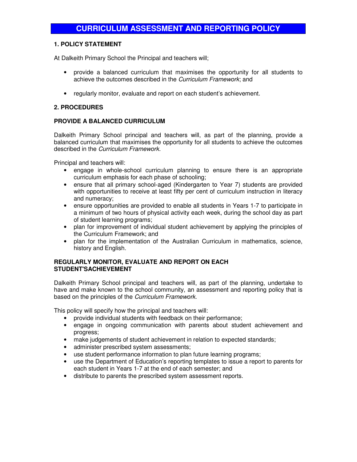## **1. POLICY STATEMENT**

At Dalkeith Primary School the Principal and teachers will;

- provide a balanced curriculum that maximises the opportunity for all students to achieve the outcomes described in the Curriculum Framework; and
- regularly monitor, evaluate and report on each student's achievement.

## **2. PROCEDURES**

### **PROVIDE A BALANCED CURRICULUM**

Dalkeith Primary School principal and teachers will, as part of the planning, provide a balanced curriculum that maximises the opportunity for all students to achieve the outcomes described in the Curriculum Framework.

Principal and teachers will:

- engage in whole-school curriculum planning to ensure there is an appropriate curriculum emphasis for each phase of schooling;
- ensure that all primary school-aged (Kindergarten to Year 7) students are provided with opportunities to receive at least fifty per cent of curriculum instruction in literacy and numeracy;
- ensure opportunities are provided to enable all students in Years 1-7 to participate in a minimum of two hours of physical activity each week, during the school day as part of student learning programs;
- plan for improvement of individual student achievement by applying the principles of the Curriculum Framework; and
- plan for the implementation of the Australian Curriculum in mathematics, science, history and English.

### **REGULARLY MONITOR, EVALUATE AND REPORT ON EACH STUDENT'SACHIEVEMENT**

Dalkeith Primary School principal and teachers will, as part of the planning, undertake to have and make known to the school community, an assessment and reporting policy that is based on the principles of the Curriculum Framework.

This policy will specify how the principal and teachers will:

- provide individual students with feedback on their performance;
- engage in ongoing communication with parents about student achievement and progress;
- make judgements of student achievement in relation to expected standards;
- administer prescribed system assessments;
- use student performance information to plan future learning programs;
- use the Department of Education's reporting templates to issue a report to parents for each student in Years 1-7 at the end of each semester; and
- distribute to parents the prescribed system assessment reports.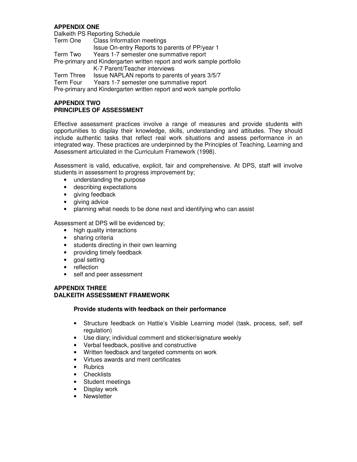# **APPENDIX ONE**

Dalkeith PS Reporting Schedule Term One Class Information meetings Issue On-entry Reports to parents of PP/year 1<br>Term Two Years 1-7 semester one summative report Years 1-7 semester one summative report Pre-primary and Kindergarten written report and work sample portfolio K-7 Parent/Teacher interviews Term Three Issue NAPLAN reports to parents of years 3/5/7 Term Four Years 1-7 semester one summative report Pre-primary and Kindergarten written report and work sample portfolio

### **APPENDIX TWO PRINCIPLES OF ASSESSMENT**

Effective assessment practices involve a range of measures and provide students with opportunities to display their knowledge, skills, understanding and attitudes. They should include authentic tasks that reflect real work situations and assess performance in an integrated way. These practices are underpinned by the Principles of Teaching, Learning and Assessment articulated in the Curriculum Framework (1998).

Assessment is valid, educative, explicit, fair and comprehensive. At DPS, staff will involve students in assessment to progress improvement by;

- understanding the purpose
- describing expectations
- giving feedback
- giving advice
- planning what needs to be done next and identifying who can assist

Assessment at DPS will be evidenced by;

- high quality interactions
- sharing criteria
- students directing in their own learning
- providing timely feedback
- goal setting
- reflection
- self and peer assessment

### **APPENDIX THREE DALKEITH ASSESSMENT FRAMEWORK**

#### **Provide students with feedback on their performance**

- Structure feedback on Hattie's Visible Learning model (task, process, self, self regulation)
- Use diary; individual comment and sticker/signature weekly
- Verbal feedback, positive and constructive
- Written feedback and targeted comments on work
- Virtues awards and merit certificates
- Rubrics
- Checklists
- Student meetings
- Display work
- **Newsletter**